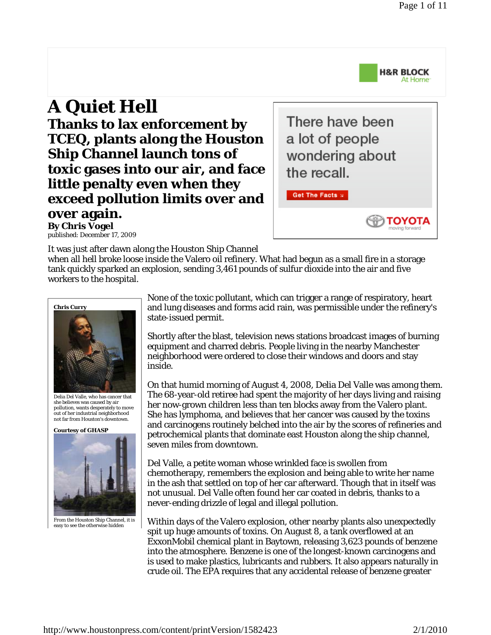

ΤΟΥΟΤΑ

## **A Quiet Hell Thanks to lax enforcement by TCEQ, plants along the Houston Ship Channel launch tons of toxic gases into our air, and face little penalty even when they exceed pollution limits over and over again. By Chris Vogel**

There have been a lot of people wondering about the recall.

Get The Facts x

published: December 17, 2009

It was just after dawn along the Houston Ship Channel

when all hell broke loose inside the Valero oil refinery. What had begun as a small fire in a storage tank quickly sparked an explosion, sending 3,461 pounds of sulfur dioxide into the air and five workers to the hospital.



Delia Del Valle, who has cancer that she believes was caused by air pollution, wants desperately to move out of her industrial neighborhood not far from Houston's downtown.

**Courtesy of GHASP**



From the Houston Ship Channel, it is easy to see the otherwise hidden

None of the toxic pollutant, which can trigger a range of respiratory, heart and lung diseases and forms acid rain, was permissible under the refinery's state-issued permit.

Shortly after the blast, television news stations broadcast images of burning equipment and charred debris. People living in the nearby Manchester neighborhood were ordered to close their windows and doors and stay inside.

On that humid morning of August 4, 2008, Delia Del Valle was among them. The 68-year-old retiree had spent the majority of her days living and raising her now-grown children less than ten blocks away from the Valero plant. She has lymphoma, and believes that her cancer was caused by the toxins and carcinogens routinely belched into the air by the scores of refineries and petrochemical plants that dominate east Houston along the ship channel, seven miles from downtown.

Del Valle, a petite woman whose wrinkled face is swollen from chemotherapy, remembers the explosion and being able to write her name in the ash that settled on top of her car afterward. Though that in itself was not unusual. Del Valle often found her car coated in debris, thanks to a never-ending drizzle of legal and illegal pollution.

Within days of the Valero explosion, other nearby plants also unexpectedly spit up huge amounts of toxins. On August 8, a tank overflowed at an ExxonMobil chemical plant in Baytown, releasing 3,623 pounds of benzene into the atmosphere. Benzene is one of the longest-known carcinogens and is used to make plastics, lubricants and rubbers. It also appears naturally in crude oil. The EPA requires that any accidental release of benzene greater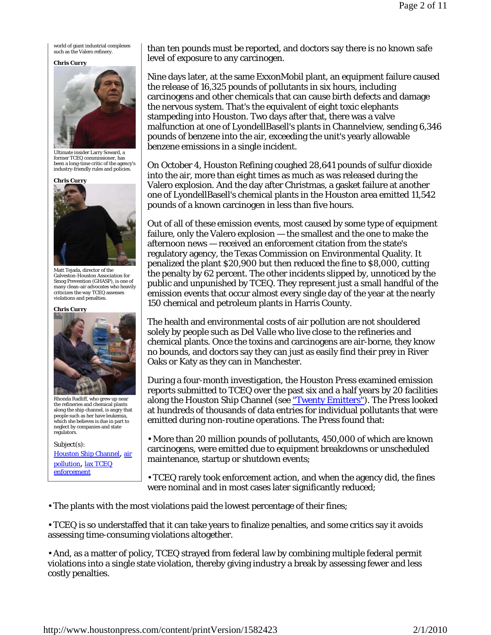world of giant industrial complexes such as the Valero refinery.

## **Chris Curry**



Ultimate insider Larry Soward, a former TCEQ commissioner, has been a long-time critic of the agency's industry-friendly rules and policies.



Matt Tejada, director of the Galveston-Houston Association for Smog Prevention (GHASP), is one of many clean-air advocates who heavily criticizes the way TCEQ assesses violations and penalties.

## **Chris Curry**

Rhonda Radliff, who grew up near the refineries and chemical plants along the ship channel, is angry that people such as her have leukemia, which she believes is due in part to neglect by companies and state regulators.

Subject(s): Houston Ship Channel, air pollution, lax TCEQ enforcement

than ten pounds must be reported, and doctors say there is no known safe level of exposure to any carcinogen.

Nine days later, at the same ExxonMobil plant, an equipment failure caused the release of 16,325 pounds of pollutants in six hours, including carcinogens and other chemicals that can cause birth defects and damage the nervous system. That's the equivalent of eight toxic elephants stampeding into Houston. Two days after that, there was a valve malfunction at one of LyondellBasell's plants in Channelview, sending 6,346 pounds of benzene into the air, exceeding the unit's yearly allowable benzene emissions in a single incident.

On October 4, Houston Refining coughed 28,641 pounds of sulfur dioxide into the air, more than eight times as much as was released during the Valero explosion. And the day after Christmas, a gasket failure at another one of LyondellBasell's chemical plants in the Houston area emitted 11,542 pounds of a known carcinogen in less than five hours.

Out of all of these emission events, most caused by some type of equipment failure, only the Valero explosion — the smallest and the one to make the afternoon news — received an enforcement citation from the state's regulatory agency, the Texas Commission on Environmental Quality. It penalized the plant \$20,900 but then reduced the fine to \$8,000, cutting the penalty by 62 percent. The other incidents slipped by, unnoticed by the public and unpunished by TCEQ. They represent just a small handful of the emission events that occur almost every single day of the year at the nearly 150 chemical and petroleum plants in Harris County.

The health and environmental costs of air pollution are not shouldered solely by people such as Del Valle who live close to the refineries and chemical plants. Once the toxins and carcinogens are air-borne, they know no bounds, and doctors say they can just as easily find their prey in River Oaks or Katy as they can in Manchester.

During a four-month investigation, the *Houston Press* examined emission reports submitted to TCEQ over the past six and a half years by 20 facilities along the Houston Ship Channel (see "Twenty Emitters"). The *Press* looked at hundreds of thousands of data entries for individual pollutants that were emitted during non-routine operations. The *Press* found that:

• More than 20 million pounds of pollutants, 450,000 of which are known carcinogens, were emitted due to equipment breakdowns or unscheduled maintenance, startup or shutdown events;

• TCEQ rarely took enforcement action, and when the agency did, the fines were nominal and in most cases later significantly reduced;

• The plants with the most violations paid the lowest percentage of their fines;

• TCEQ is so understaffed that it can take years to finalize penalties, and some critics say it avoids assessing time-consuming violations altogether.

• And, as a matter of policy, TCEQ strayed from federal law by combining multiple federal permit violations into a single state violation, thereby giving industry a break by assessing fewer and less costly penalties.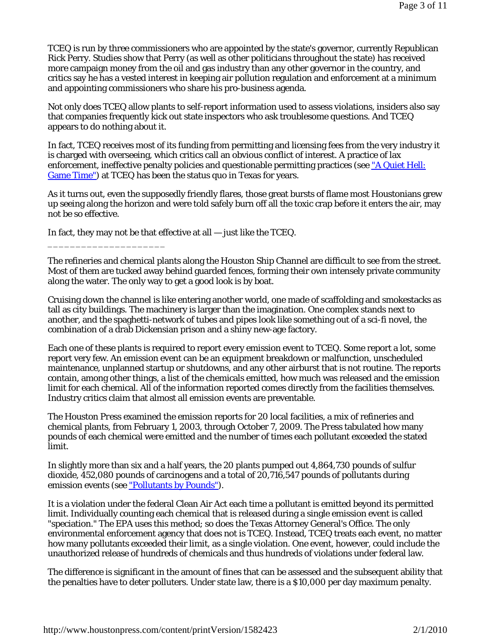TCEQ is run by three commissioners who are appointed by the state's governor, currently Republican Rick Perry. Studies show that Perry (as well as other politicians throughout the state) has received more campaign money from the oil and gas industry than any other governor in the country, and critics say he has a vested interest in keeping air pollution regulation and enforcement at a minimum and appointing commissioners who share his pro-business agenda.

Not only does TCEQ allow plants to self-report information used to assess violations, insiders also say that companies frequently kick out state inspectors who ask troublesome questions. And TCEQ appears to do nothing about it.

In fact, TCEQ receives most of its funding from permitting and licensing fees from the very industry it is charged with overseeing, which critics call an obvious conflict of interest. A practice of lax enforcement, ineffective penalty policies and questionable permitting practices (see "A Quiet Hell: Game Time") at TCEQ has been the status quo in Texas for years.

As it turns out, even the supposedly friendly flares, those great bursts of flame most Houstonians grew up seeing along the horizon and were told safely burn off all the toxic crap before it enters the air, may not be so effective.

In fact, they may not be that effective at all — just like the TCEQ.

\_\_\_\_\_\_\_\_\_\_\_\_\_\_\_\_\_\_\_\_\_

The refineries and chemical plants along the Houston Ship Channel are difficult to see from the street. Most of them are tucked away behind guarded fences, forming their own intensely private community along the water. The only way to get a good look is by boat.

Cruising down the channel is like entering another world, one made of scaffolding and smokestacks as tall as city buildings. The machinery is larger than the imagination. One complex stands next to another, and the spaghetti-network of tubes and pipes look like something out of a sci-fi novel, the combination of a drab Dickensian prison and a shiny new-age factory.

Each one of these plants is required to report every emission event to TCEQ. Some report a lot, some report very few. An emission event can be an equipment breakdown or malfunction, unscheduled maintenance, unplanned startup or shutdowns, and any other airburst that is not routine. The reports contain, among other things, a list of the chemicals emitted, how much was released and the emission limit for each chemical. All of the information reported comes directly from the facilities themselves. Industry critics claim that almost all emission events are preventable.

The *Houston Press* examined the emission reports for 20 local facilities, a mix of refineries and chemical plants, from February 1, 2003, through October 7, 2009. The *Press* tabulated how many pounds of each chemical were emitted and the number of times each pollutant exceeded the stated limit.

In slightly more than six and a half years, the 20 plants pumped out 4,864,730 pounds of sulfur dioxide, 452,080 pounds of carcinogens and a total of 20,716,547 pounds of pollutants during emission events (see "Pollutants by Pounds").

It is a violation under the federal Clean Air Act each time a pollutant is emitted beyond its permitted limit. Individually counting each chemical that is released during a single emission event is called "speciation." The EPA uses this method; so does the Texas Attorney General's Office. The only environmental enforcement agency that does not is TCEQ. Instead, TCEQ treats each event, no matter how many pollutants exceeded their limit, as a single violation. One event, however, could include the unauthorized release of hundreds of chemicals and thus hundreds of violations under federal law.

The difference is significant in the amount of fines that can be assessed and the subsequent ability that the penalties have to deter polluters. Under state law, there is a \$10,000 per day maximum penalty.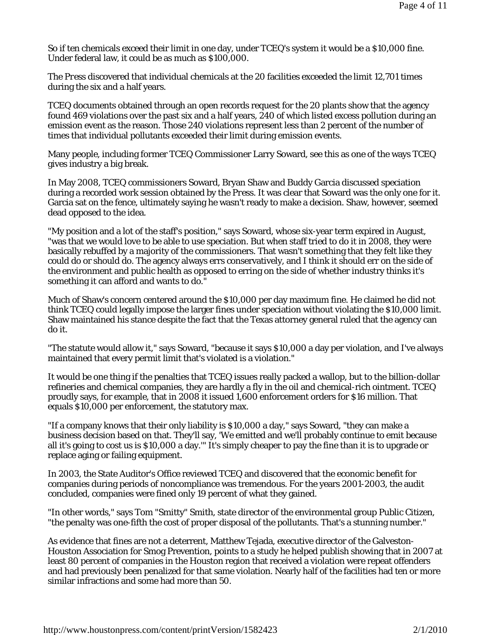So if ten chemicals exceed their limit in one day, under TCEQ's system it would be a \$10,000 fine. Under federal law, it could be as much as \$100,000.

The *Press* discovered that individual chemicals at the 20 facilities exceeded the limit 12,701 times during the six and a half years.

TCEQ documents obtained through an open records request for the 20 plants show that the agency found 469 violations over the past six and a half years, 240 of which listed excess pollution during an emission event as the reason. Those 240 violations represent less than 2 percent of the number of times that individual pollutants exceeded their limit during emission events.

Many people, including former TCEQ Commissioner Larry Soward, see this as one of the ways TCEQ gives industry a big break.

In May 2008, TCEQ commissioners Soward, Bryan Shaw and Buddy Garcia discussed speciation during a recorded work session obtained by the *Press*. It was clear that Soward was the only one for it. Garcia sat on the fence, ultimately saying he wasn't ready to make a decision. Shaw, however, seemed dead opposed to the idea.

"My position and a lot of the staff's position," says Soward, whose six-year term expired in August, "was that we would love to be able to use speciation. But when staff tried to do it in 2008, they were basically rebuffed by a majority of the commissioners. That wasn't something that they felt like they could do or should do. The agency always errs conservatively, and I think it should err on the side of the environment and public health as opposed to erring on the side of whether industry thinks it's something it can afford and wants to do."

Much of Shaw's concern centered around the \$10,000 per day maximum fine. He claimed he did not think TCEQ could legally impose the larger fines under speciation without violating the \$10,000 limit. Shaw maintained his stance despite the fact that the Texas attorney general ruled that the agency can do it.

"The statute would allow it," says Soward, "because it says \$10,000 a day per violation, and I've always maintained that every permit limit that's violated is a violation."

It would be one thing if the penalties that TCEQ issues really packed a wallop, but to the billion-dollar refineries and chemical companies, they are hardly a fly in the oil and chemical-rich ointment. TCEQ proudly says, for example, that in 2008 it issued 1,600 enforcement orders for \$16 million. That equals \$10,000 per enforcement, the statutory max.

"If a company knows that their only liability is \$10,000 a day," says Soward, "they can make a business decision based on that. They'll say, 'We emitted and we'll probably continue to emit because all it's going to cost us is \$10,000 a day.'" It's simply cheaper to pay the fine than it is to upgrade or replace aging or failing equipment.

In 2003, the State Auditor's Office reviewed TCEQ and discovered that the economic benefit for companies during periods of noncompliance was tremendous. For the years 2001-2003, the audit concluded, companies were fined only 19 percent of what they gained.

"In other words," says Tom "Smitty" Smith, state director of the environmental group Public Citizen, "the penalty was one-fifth the cost of proper disposal of the pollutants. That's a stunning number."

As evidence that fines are not a deterrent, Matthew Tejada, executive director of the Galveston-Houston Association for Smog Prevention, points to a study he helped publish showing that in 2007 at least 80 percent of companies in the Houston region that received a violation were repeat offenders and had previously been penalized for that same violation. Nearly half of the facilities had ten or more similar infractions and some had more than 50.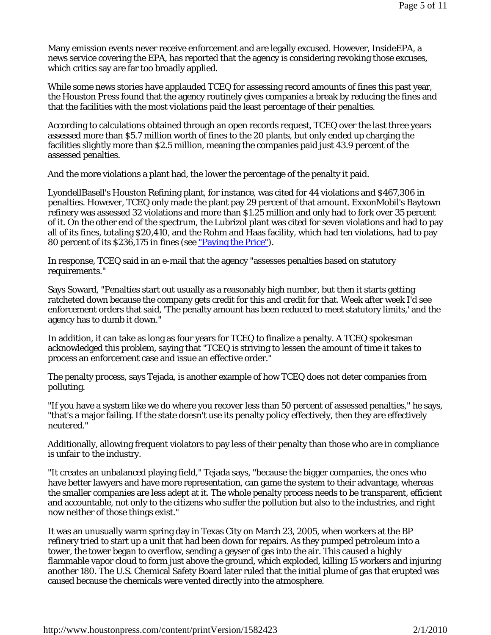Many emission events never receive enforcement and are legally excused. However, *InsideEPA*, a news service covering the EPA, has reported that the agency is considering revoking those excuses, which critics say are far too broadly applied.

While some news stories have applauded TCEQ for assessing record amounts of fines this past year, the *Houston Press* found that the agency routinely gives companies a break by reducing the fines and that the facilities with the most violations paid the least percentage of their penalties.

According to calculations obtained through an open records request, TCEQ over the last three years assessed more than \$5.7 million worth of fines to the 20 plants, but only ended up charging the facilities slightly more than \$2.5 million, meaning the companies paid just 43.9 percent of the assessed penalties.

And the more violations a plant had, the lower the percentage of the penalty it paid.

LyondellBasell's Houston Refining plant, for instance, was cited for 44 violations and \$467,306 in penalties. However, TCEQ only made the plant pay 29 percent of that amount. ExxonMobil's Baytown refinery was assessed 32 violations and more than \$1.25 million and only had to fork over 35 percent of it. On the other end of the spectrum, the Lubrizol plant was cited for seven violations and had to pay all of its fines, totaling \$20,410, and the Rohm and Haas facility, which had ten violations, had to pay 80 percent of its \$236,175 in fines (see "Paying the Price").

In response, TCEQ said in an e-mail that the agency "assesses penalties based on statutory requirements."

Says Soward, "Penalties start out usually as a reasonably high number, but then it starts getting ratcheted down because the company gets credit for this and credit for that. Week after week I'd see enforcement orders that said, 'The penalty amount has been reduced to meet statutory limits,' and the agency has to dumb it down."

In addition, it can take as long as four years for TCEQ to finalize a penalty. A TCEQ spokesman acknowledged this problem, saying that "TCEQ is striving to lessen the amount of time it takes to process an enforcement case and issue an effective order."

The penalty process, says Tejada, is another example of how TCEQ does not deter companies from polluting.

"If you have a system like we do where you recover less than 50 percent of assessed penalties," he says, "that's a major failing. If the state doesn't use its penalty policy effectively, then they are effectively neutered."

Additionally, allowing frequent violators to pay less of their penalty than those who are in compliance is unfair to the industry.

"It creates an unbalanced playing field," Tejada says, "because the bigger companies, the ones who have better lawyers and have more representation, can game the system to their advantage, whereas the smaller companies are less adept at it. The whole penalty process needs to be transparent, efficient and accountable, not only to the citizens who suffer the pollution but also to the industries, and right now neither of those things exist."

It was an unusually warm spring day in Texas City on March 23, 2005, when workers at the BP refinery tried to start up a unit that had been down for repairs. As they pumped petroleum into a tower, the tower began to overflow, sending a geyser of gas into the air. This caused a highly flammable vapor cloud to form just above the ground, which exploded, killing 15 workers and injuring another 180. The U.S. Chemical Safety Board later ruled that the initial plume of gas that erupted was caused because the chemicals were vented directly into the atmosphere.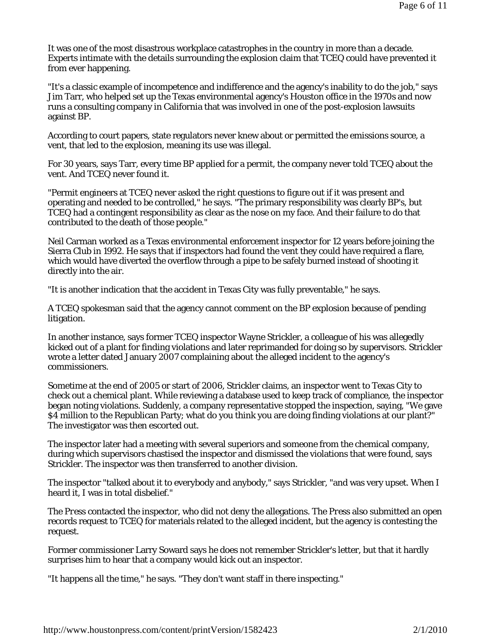It was one of the most disastrous workplace catastrophes in the country in more than a decade. Experts intimate with the details surrounding the explosion claim that TCEQ could have prevented it from ever happening.

"It's a classic example of incompetence and indifference and the agency's inability to do the job," says Jim Tarr, who helped set up the Texas environmental agency's Houston office in the 1970s and now runs a consulting company in California that was involved in one of the post-explosion lawsuits against BP.

According to court papers, state regulators never knew about or permitted the emissions source, a vent, that led to the explosion, meaning its use was illegal.

For 30 years, says Tarr, every time BP applied for a permit, the company never told TCEQ about the vent. And TCEQ never found it.

"Permit engineers at TCEQ never asked the right questions to figure out if it was present and operating and needed to be controlled," he says. "The primary responsibility was clearly BP's, but TCEQ had a contingent responsibility as clear as the nose on my face. And their failure to do that contributed to the death of those people."

Neil Carman worked as a Texas environmental enforcement inspector for 12 years before joining the Sierra Club in 1992. He says that if inspectors had found the vent they could have required a flare, which would have diverted the overflow through a pipe to be safely burned instead of shooting it directly into the air.

"It is another indication that the accident in Texas City was fully preventable," he says.

A TCEQ spokesman said that the agency cannot comment on the BP explosion because of pending litigation.

In another instance, says former TCEQ inspector Wayne Strickler, a colleague of his was allegedly kicked out of a plant for finding violations and later reprimanded for doing so by supervisors. Strickler wrote a letter dated January 2007 complaining about the alleged incident to the agency's commissioners.

Sometime at the end of 2005 or start of 2006, Strickler claims, an inspector went to Texas City to check out a chemical plant. While reviewing a database used to keep track of compliance, the inspector began noting violations. Suddenly, a company representative stopped the inspection, saying, "We gave \$4 million to the Republican Party; what do you think you are doing finding violations at our plant?" The investigator was then escorted out.

The inspector later had a meeting with several superiors and someone from the chemical company, during which supervisors chastised the inspector and dismissed the violations that were found, says Strickler. The inspector was then transferred to another division.

The inspector "talked about it to everybody and anybody," says Strickler, "and was very upset. When I heard it, I was in total disbelief."

The *Press* contacted the inspector, who did not deny the allegations. The *Press* also submitted an open records request to TCEQ for materials related to the alleged incident, but the agency is contesting the request.

Former commissioner Larry Soward says he does not remember Strickler's letter, but that it hardly surprises him to hear that a company would kick out an inspector.

"It happens all the time," he says. "They don't want staff in there inspecting."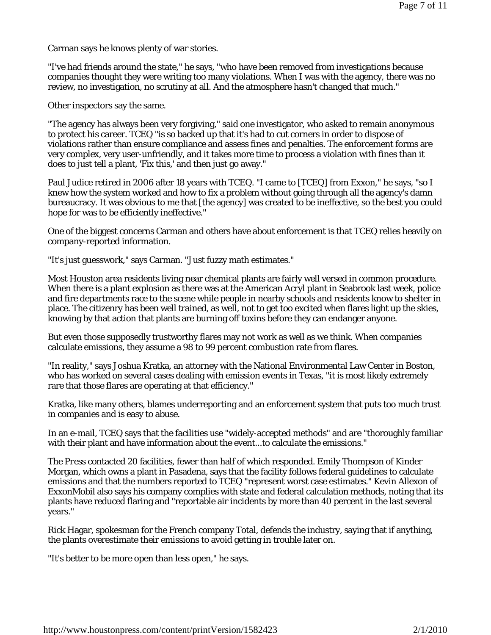Carman says he knows plenty of war stories.

"I've had friends around the state," he says, "who have been removed from investigations because companies thought they were writing too many violations. When I was with the agency, there was no review, no investigation, no scrutiny at all. And the atmosphere hasn't changed that much."

Other inspectors say the same.

"The agency has always been very forgiving," said one investigator, who asked to remain anonymous to protect his career. TCEQ "is so backed up that it's had to cut corners in order to dispose of violations rather than ensure compliance and assess fines and penalties. The enforcement forms are very complex, very user-unfriendly, and it takes more time to process a violation with fines than it does to just tell a plant, 'Fix this,' and then just go away."

Paul Judice retired in 2006 after 18 years with TCEQ. "I came to [TCEQ] from Exxon," he says, "so I knew how the system worked and how to fix a problem without going through all the agency's damn bureaucracy. It was obvious to me that [the agency] was created to be ineffective, so the best you could hope for was to be efficiently ineffective."

One of the biggest concerns Carman and others have about enforcement is that TCEQ relies heavily on company-reported information.

"It's just guesswork," says Carman. "Just fuzzy math estimates."

Most Houston area residents living near chemical plants are fairly well versed in common procedure. When there is a plant explosion as there was at the American Acryl plant in Seabrook last week, police and fire departments race to the scene while people in nearby schools and residents know to shelter in place. The citizenry has been well trained, as well, not to get too excited when flares light up the skies, knowing by that action that plants are burning off toxins before they can endanger anyone.

But even those supposedly trustworthy flares may not work as well as we think. When companies calculate emissions, they assume a 98 to 99 percent combustion rate from flares.

"In reality," says Joshua Kratka, an attorney with the National Environmental Law Center in Boston, who has worked on several cases dealing with emission events in Texas, "it is most likely extremely rare that those flares are operating at that efficiency."

Kratka, like many others, blames underreporting and an enforcement system that puts too much trust in companies and is easy to abuse.

In an e-mail, TCEQ says that the facilities use "widely-accepted methods" and are "thoroughly familiar with their plant and have information about the event...to calculate the emissions."

The *Press* contacted 20 facilities, fewer than half of which responded. Emily Thompson of Kinder Morgan, which owns a plant in Pasadena, says that the facility follows federal guidelines to calculate emissions and that the numbers reported to TCEQ "represent worst case estimates." Kevin Allexon of ExxonMobil also says his company complies with state and federal calculation methods, noting that its plants have reduced flaring and "reportable air incidents by more than 40 percent in the last several years."

Rick Hagar, spokesman for the French company Total, defends the industry, saying that if anything, the plants overestimate their emissions to avoid getting in trouble later on.

"It's better to be more open than less open," he says.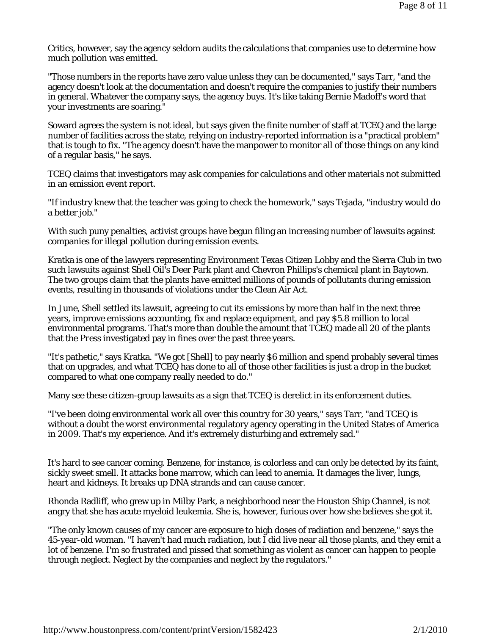Critics, however, say the agency seldom audits the calculations that companies use to determine how much pollution was emitted.

"Those numbers in the reports have zero value unless they can be documented," says Tarr, "and the agency doesn't look at the documentation and doesn't require the companies to justify their numbers in general. Whatever the company says, the agency buys. It's like taking Bernie Madoff's word that your investments are soaring."

Soward agrees the system is not ideal, but says given the finite number of staff at TCEQ and the large number of facilities across the state, relying on industry-reported information is a "practical problem" that is tough to fix. "The agency doesn't have the manpower to monitor all of those things on any kind of a regular basis," he says.

TCEQ claims that investigators may ask companies for calculations and other materials not submitted in an emission event report.

"If industry knew that the teacher was going to check the homework," says Tejada, "industry would do a better job."

With such puny penalties, activist groups have begun filing an increasing number of lawsuits against companies for illegal pollution during emission events.

Kratka is one of the lawyers representing Environment Texas Citizen Lobby and the Sierra Club in two such lawsuits against Shell Oil's Deer Park plant and Chevron Phillips's chemical plant in Baytown. The two groups claim that the plants have emitted millions of pounds of pollutants during emission events, resulting in thousands of violations under the Clean Air Act.

In June, Shell settled its lawsuit, agreeing to cut its emissions by more than half in the next three years, improve emissions accounting, fix and replace equipment, and pay \$5.8 million to local environmental programs. That's more than double the amount that TCEQ made all 20 of the plants that the *Press* investigated pay in fines over the past three years.

"It's pathetic," says Kratka. "We got [Shell] to pay nearly \$6 million and spend probably several times that on upgrades, and what TCEQ has done to all of those other facilities is just a drop in the bucket compared to what one company really needed to do."

Many see these citizen-group lawsuits as a sign that TCEQ is derelict in its enforcement duties.

"I've been doing environmental work all over this country for 30 years," says Tarr, "and TCEQ is without a doubt the worst environmental regulatory agency operating in the United States of America in 2009. That's my experience. And it's extremely disturbing and extremely sad."

Rhonda Radliff, who grew up in Milby Park, a neighborhood near the Houston Ship Channel, is not angry that she has acute myeloid leukemia. She is, however, furious over how she believes she got it.

\_\_\_\_\_\_\_\_\_\_\_\_\_\_\_\_\_\_\_\_\_

It's hard to see cancer coming. Benzene, for instance, is colorless and can only be detected by its faint, sickly sweet smell. It attacks bone marrow, which can lead to anemia. It damages the liver, lungs, heart and kidneys. It breaks up DNA strands and can cause cancer.

<sup>&</sup>quot;The only known causes of my cancer are exposure to high doses of radiation and benzene," says the 45-year-old woman. "I haven't had much radiation, but I did live near all those plants, and they emit a lot of benzene. I'm so frustrated and pissed that something as violent as cancer can happen to people through neglect. Neglect by the companies and neglect by the regulators."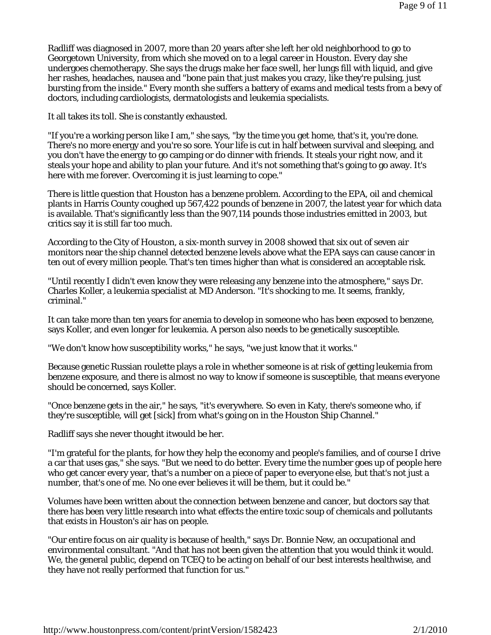Radliff was diagnosed in 2007, more than 20 years after she left her old neighborhood to go to Georgetown University, from which she moved on to a legal career in Houston. Every day she undergoes chemotherapy. She says the drugs make her face swell, her lungs fill with liquid, and give her rashes, headaches, nausea and "bone pain that just makes you crazy, like they're pulsing, just bursting from the inside." Every month she suffers a battery of exams and medical tests from a bevy of doctors, including cardiologists, dermatologists and leukemia specialists.

It all takes its toll. She is constantly exhausted.

"If you're a working person like I am," she says, "by the time you get home, that's it, you're done. There's no more energy and you're so sore. Your life is cut in half between survival and sleeping, and you don't have the energy to go camping or do dinner with friends. It steals your right now, and it steals your hope and ability to plan your future. And it's not something that's going to go away. It's here with me forever. Overcoming it is just learning to cope."

There is little question that Houston has a benzene problem. According to the EPA, oil and chemical plants in Harris County coughed up 567,422 pounds of benzene in 2007, the latest year for which data is available. That's significantly less than the 907,114 pounds those industries emitted in 2003, but critics say it is still far too much.

According to the City of Houston, a six-month survey in 2008 showed that six out of seven air monitors near the ship channel detected benzene levels above what the EPA says can cause cancer in ten out of every million people. That's ten times higher than what is considered an acceptable risk.

"Until recently I didn't even know they were releasing any benzene into the atmosphere," says Dr. Charles Koller, a leukemia specialist at MD Anderson. "It's shocking to me. It seems, frankly, criminal."

It can take more than ten years for anemia to develop in someone who has been exposed to benzene, says Koller, and even longer for leukemia. A person also needs to be genetically susceptible.

"We don't know how susceptibility works," he says, "we just know that it works."

Because genetic Russian roulette plays a role in whether someone is at risk of getting leukemia from benzene exposure, and there is almost no way to know if someone is susceptible, that means everyone should be concerned, says Koller.

"Once benzene gets in the air," he says, "it's everywhere. So even in Katy, there's someone who, if they're susceptible, will get [sick] from what's going on in the Houston Ship Channel."

Radliff says she never thought itwould be her.

"I'm grateful for the plants, for how they help the economy and people's families, and of course I drive a car that uses gas," she says. "But we need to do better. Every time the number goes up of people here who get cancer every year, that's a number on a piece of paper to everyone else, but that's not just a number, that's one of me. No one ever believes it will be them, but it could be."

Volumes have been written about the connection between benzene and cancer, but doctors say that there has been very little research into what effects the entire toxic soup of chemicals and pollutants that exists in Houston's air has on people.

"Our entire focus on air quality is because of health," says Dr. Bonnie New, an occupational and environmental consultant. "And that has not been given the attention that you would think it would. We, the general public, depend on TCEQ to be acting on behalf of our best interests healthwise, and they have not really performed that function for us."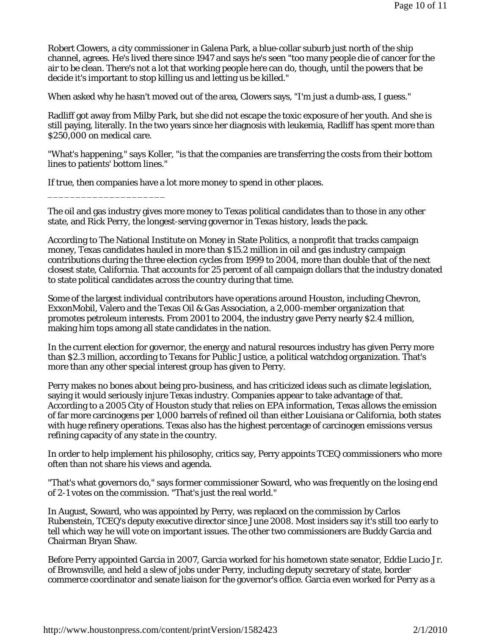Robert Clowers, a city commissioner in Galena Park, a blue-collar suburb just north of the ship channel, agrees. He's lived there since 1947 and says he's seen "too many people die of cancer for the air to be clean. There's not a lot that working people here can do, though, until the powers that be decide it's important to stop killing us and letting us be killed."

When asked why he hasn't moved out of the area, Clowers says, "I'm just a dumb-ass, I guess."

Radliff got away from Milby Park, but she did not escape the toxic exposure of her youth. And she is still paying, literally. In the two years since her diagnosis with leukemia, Radliff has spent more than \$250,000 on medical care.

"What's happening," says Koller, "is that the companies are transferring the costs from their bottom lines to patients' bottom lines."

If true, then companies have a lot more money to spend in other places.

\_\_\_\_\_\_\_\_\_\_\_\_\_\_\_\_\_\_\_\_\_

The oil and gas industry gives more money to Texas political candidates than to those in any other state, and Rick Perry, the longest-serving governor in Texas history, leads the pack.

According to The National Institute on Money in State Politics, a nonprofit that tracks campaign money, Texas candidates hauled in more than \$15.2 million in oil and gas industry campaign contributions during the three election cycles from 1999 to 2004, more than double that of the next closest state, California. That accounts for 25 percent of all campaign dollars that the industry donated to state political candidates across the country during that time.

Some of the largest individual contributors have operations around Houston, including Chevron, ExxonMobil, Valero and the Texas Oil & Gas Association, a 2,000-member organization that promotes petroleum interests. From 2001 to 2004, the industry gave Perry nearly \$2.4 million, making him tops among all state candidates in the nation.

In the current election for governor, the energy and natural resources industry has given Perry more than \$2.3 million, according to Texans for Public Justice, a political watchdog organization. That's more than any other special interest group has given to Perry.

Perry makes no bones about being pro-business, and has criticized ideas such as climate legislation, saying it would seriously injure Texas industry. Companies appear to take advantage of that. According to a 2005 City of Houston study that relies on EPA information, Texas allows the emission of far more carcinogens per 1,000 barrels of refined oil than either Louisiana or California, both states with huge refinery operations. Texas also has the highest percentage of carcinogen emissions versus refining capacity of any state in the country.

In order to help implement his philosophy, critics say, Perry appoints TCEQ commissioners who more often than not share his views and agenda.

"That's what governors do," says former commissioner Soward, who was frequently on the losing end of 2-1 votes on the commission. "That's just the real world."

In August, Soward, who was appointed by Perry, was replaced on the commission by Carlos Rubenstein, TCEQ's deputy executive director since June 2008. Most insiders say it's still too early to tell which way he will vote on important issues. The other two commissioners are Buddy Garcia and Chairman Bryan Shaw.

Before Perry appointed Garcia in 2007, Garcia worked for his hometown state senator, Eddie Lucio Jr. of Brownsville, and held a slew of jobs under Perry, including deputy secretary of state, border commerce coordinator and senate liaison for the governor's office. Garcia even worked for Perry as a